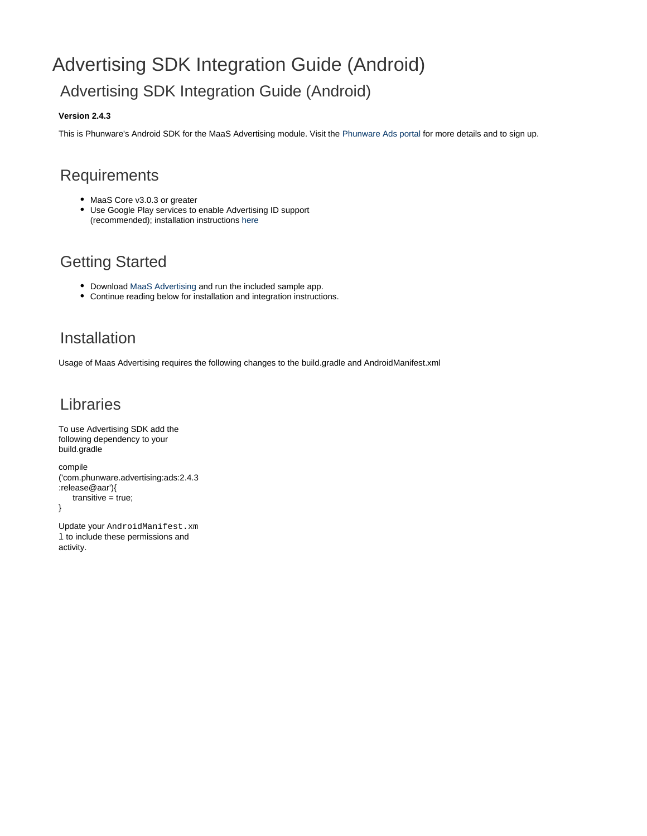# Advertising SDK Integration Guide (Android) Advertising SDK Integration Guide (Android)

#### **Version 2.4.3**

This is Phunware's Android SDK for the MaaS Advertising module. Visit the [Phunware Ads portal](http://ads.tapit.com/) for more details and to sign up.

### **Requirements**

- MaaS Core v3.0.3 or greater
- Use Google Play services to enable Advertising ID support (recommended); installation instructions [here](https://developer.android.com/google/play-services/id.html)

## Getting Started

- Download [MaaS Advertising](https://github.com/phunware/maas-ads-android-sdk/archive/master.zip) and run the included sample app.
- Continue reading below for installation and integration instructions.

### Installation

Usage of Maas Advertising requires the following changes to the build.gradle and AndroidManifest.xml

### Libraries

```
To use Advertising SDK add the
following dependency to your
build.gradle
compile
('com.phunware.advertising:ads:2.4.3
:release@aar'){
    transitive = true;
}
```
Update your AndroidManifest.xm 1 to include these permissions and activity.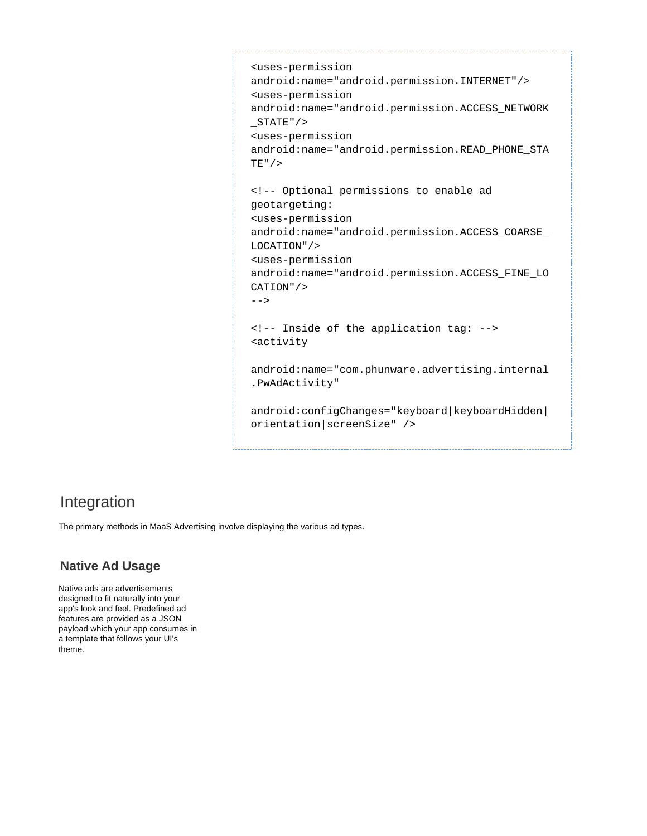```
<uses-permission
android:name="android.permission.INTERNET"/>
<uses-permission
android:name="android.permission.ACCESS_NETWORK
_STATE"/>
<uses-permission
android:name="android.permission.READ_PHONE_STA
TE"/>
<!-- Optional permissions to enable ad
geotargeting:
<uses-permission
android:name="android.permission.ACCESS_COARSE_
LOCATION"/>
<uses-permission
android:name="android.permission.ACCESS_FINE_LO
CATION"/>
--&><!-- Inside of the application tag: -->
<activity
android:name="com.phunware.advertising.internal
.PwAdActivity"
android:configChanges="keyboard|keyboardHidden|
orientation|screenSize" />
```
### Integration

The primary methods in MaaS Advertising involve displaying the various ad types.

### **Native Ad Usage**

Native ads are advertisements designed to fit naturally into your app's look and feel. Predefined ad features are provided as a JSON payload which your app consumes in a template that follows your UI's theme.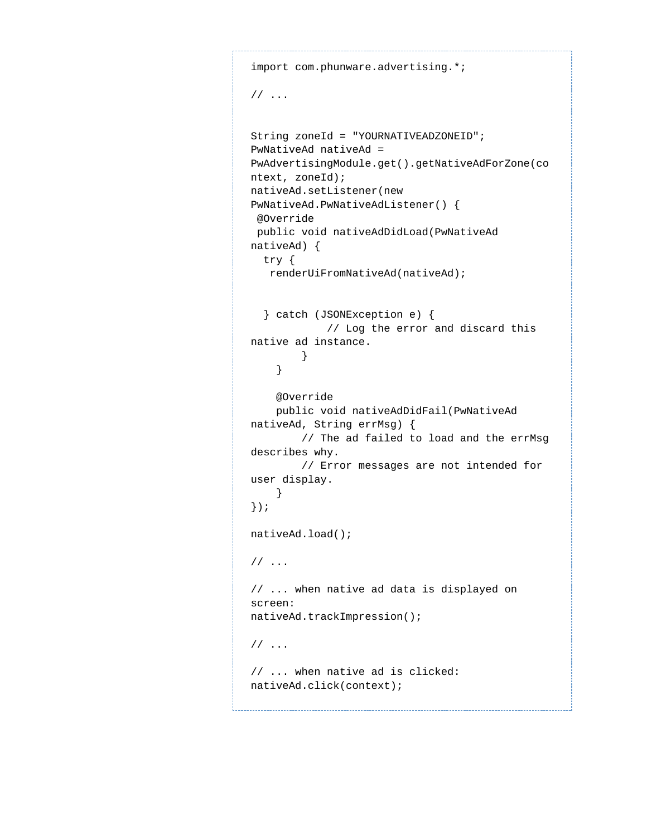```
import com.phunware.advertising.*;
// ...
String zoneId = "YOURNATIVEADZONEID"; 
PwNativeAd nativeAd =
PwAdvertisingModule.get().getNativeAdForZone(co
ntext, zoneId); 
nativeAd.setListener(new
PwNativeAd.PwNativeAdListener() { 
  @Override 
 public void nativeAdDidLoad(PwNativeAd
nativeAd) { 
  try { 
   renderUiFromNativeAd(nativeAd);
   } catch (JSONException e) {
             // Log the error and discard this
native ad instance.
        }
     }
     @Override
    public void nativeAdDidFail(PwNativeAd
nativeAd, String errMsg) {
        // The ad failed to load and the errMsg
describes why.
        // Error messages are not intended for
user display.
   }
});
nativeAd.load();
// ...
// ... when native ad data is displayed on
screen: 
nativeAd.trackImpression();
// ...
// ... when native ad is clicked: 
nativeAd.click(context);
```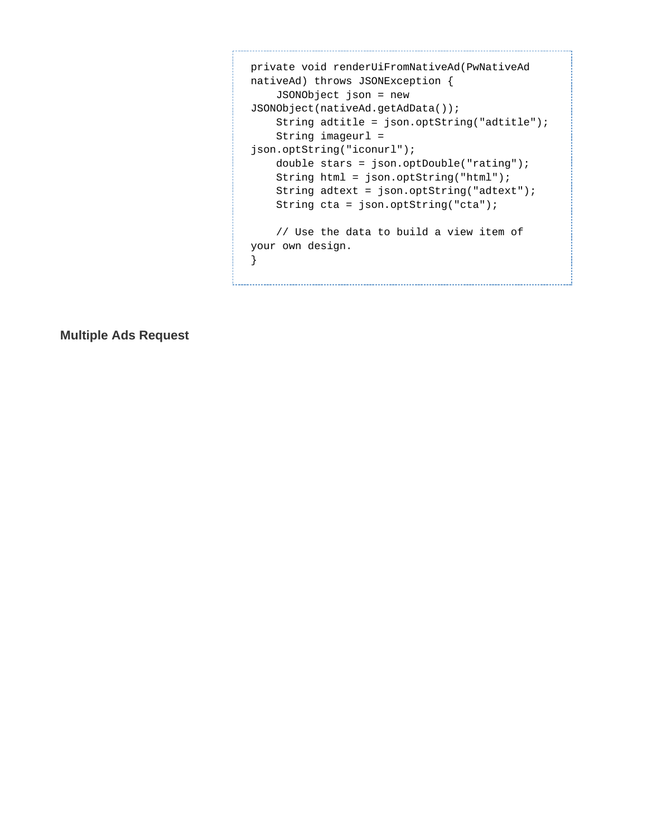```
private void renderUiFromNativeAd(PwNativeAd
nativeAd) throws JSONException {
     JSONObject json = new
JSONObject(nativeAd.getAdData());
     String adtitle = json.optString("adtitle");
     String imageurl =
json.optString("iconurl");
     double stars = json.optDouble("rating");
     String html = json.optString("html");
     String adtext = json.optString("adtext");
     String cta = json.optString("cta");
     // Use the data to build a view item of
your own design.
}
```
**Multiple Ads Request**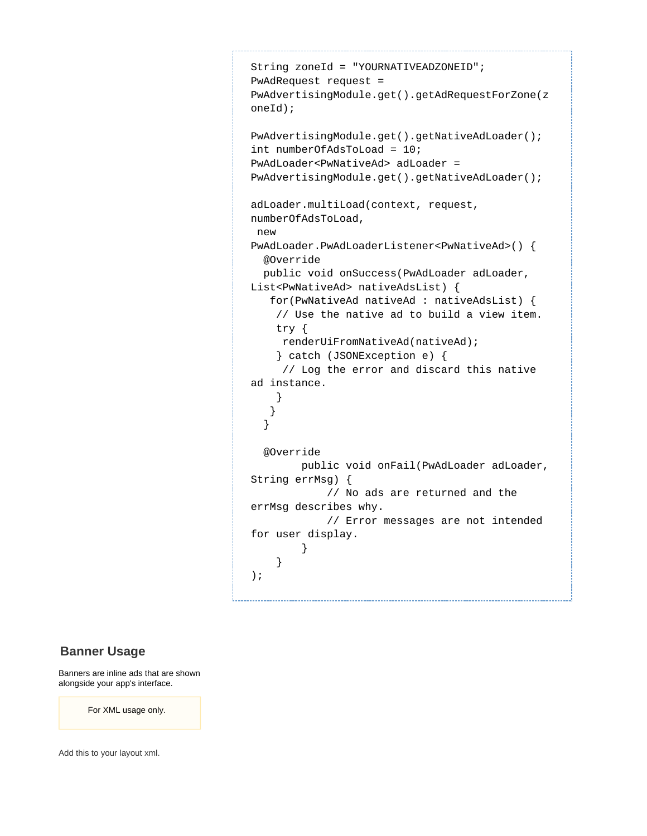```
String zoneId = "YOURNATIVEADZONEID"; 
PwAdRequest request =
PwAdvertisingModule.get().getAdRequestForZone(z
oneId);
PwAdvertisingModule.get().getNativeAdLoader(); 
int numberOfAdsToLoad = 10; 
PwAdLoader<PwNativeAd> adLoader =
PwAdvertisingModule.get().getNativeAdLoader();
adLoader.multiLoad(context, request,
numberOfAdsToLoad, 
 new
PwAdLoader.PwAdLoaderListener<PwNativeAd>() { 
   @Override 
  public void onSuccess(PwAdLoader adLoader,
List<PwNativeAd> nativeAdsList) { 
    for(PwNativeAd nativeAd : nativeAdsList) { 
     // Use the native ad to build a view item.
     try { 
     renderUiFromNativeAd(nativeAd); 
     } catch (JSONException e) { 
      // Log the error and discard this native
ad instance.
     } 
    } 
   }
   @Override
         public void onFail(PwAdLoader adLoader,
String errMsg) {
             // No ads are returned and the
errMsg describes why.
             // Error messages are not intended
for user display.
 }
 }
);
```
#### **Banner Usage**

Banners are inline ads that are shown alongside your app's interface.

For XML usage only.

Add this to your layout xml.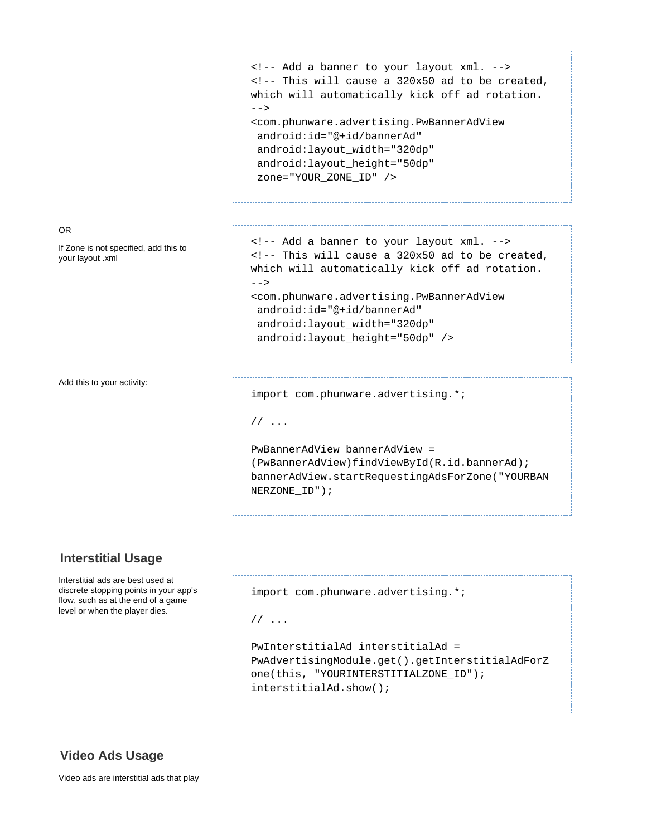```
<!-- Add a banner to your layout xml. --> 
<!-- This will cause a 320x50 ad to be created,
which will automatically kick off ad rotation.
--&><com.phunware.advertising.PwBannerAdView 
  android:id="@+id/bannerAd" 
  android:layout_width="320dp" 
  android:layout_height="50dp" 
  zone="YOUR_ZONE_ID" />
```
<!-- Add a banner to your layout xml. -->

<com.phunware.advertising.PwBannerAdView

<!-- This will cause a 320x50 ad to be created, which will automatically kick off ad rotation.

OR

If Zone is not specified, add this to your layout .xml

Add this to your activity:

 android:id="@+id/bannerAd" android:layout\_width="320dp" android:layout\_height="50dp" />

import com.phunware.advertising.\*;

// ...

 $--$ 

PwBannerAdView bannerAdView = (PwBannerAdView)findViewById(R.id.bannerAd); bannerAdView.startRequestingAdsForZone("YOURBAN NERZONE\_ID");

#### **Interstitial Usage**

Interstitial ads are best used at discrete stopping points in your app's flow, such as at the end of a game level or when the player dies.

```
import com.phunware.advertising.*;
// ...
PwInterstitialAd interstitialAd =
PwAdvertisingModule.get().getInterstitialAdForZ
```
one(this, "YOURINTERSTITIALZONE\_ID"); interstitialAd.show();

#### **Video Ads Usage**

Video ads are interstitial ads that play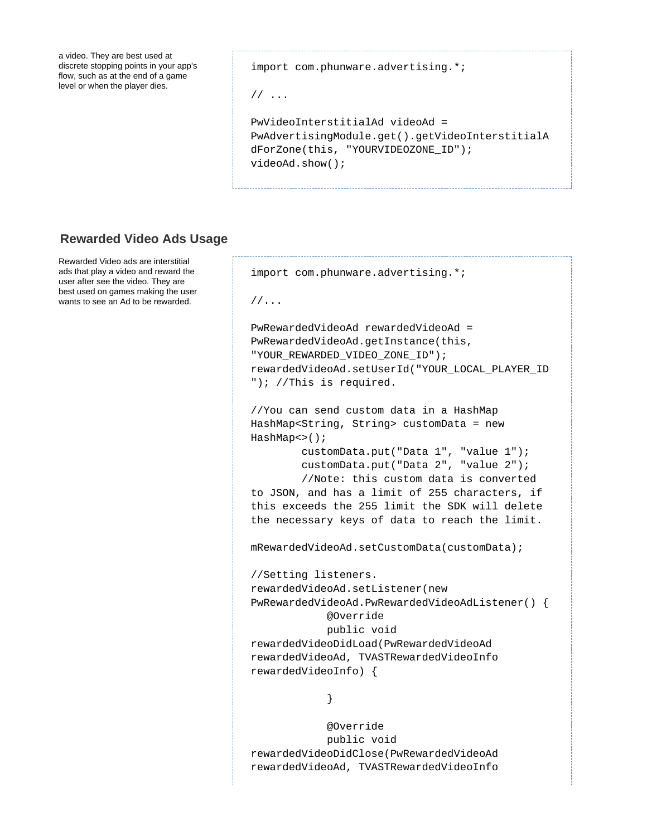a video. They are best used at discrete stopping points in your app's flow, such as at the end of a game level or when the player dies.

import com.phunware.advertising.\*;

import com.phunware.advertising.\*;

```
// ...
```

```
PwVideoInterstitialAd videoAd =
PwAdvertisingModule.get().getVideoInterstitialA
dForZone(this, "YOURVIDEOZONE_ID");
videoAd.show();
```
### **Rewarded Video Ads Usage**

Rewarded Video ads are interstitial ads that play a video and reward the user after see the video. They are best used on games making the user wants to see an Ad to be rewarded.

```
//...
PwRewardedVideoAd rewardedVideoAd =
PwRewardedVideoAd.getInstance(this,
"YOUR_REWARDED_VIDEO_ZONE_ID");
rewardedVideoAd.setUserId("YOUR_LOCAL_PLAYER_ID
"); //This is required.
//You can send custom data in a HashMap
HashMap<String, String> customData = new
HashMap<>();
         customData.put("Data 1", "value 1");
         customData.put("Data 2", "value 2");
         //Note: this custom data is converted
to JSON, and has a limit of 255 characters, if
this exceeds the 255 limit the SDK will delete
the necessary keys of data to reach the limit.
mRewardedVideoAd.setCustomData(customData);
//Setting listeners.
rewardedVideoAd.setListener(new
PwRewardedVideoAd.PwRewardedVideoAdListener() {
             @Override
             public void
rewardedVideoDidLoad(PwRewardedVideoAd
rewardedVideoAd, TVASTRewardedVideoInfo
rewardedVideoInfo) {
 }
             @Override
```
 public void rewardedVideoDidClose(PwRewardedVideoAd rewardedVideoAd, TVASTRewardedVideoInfo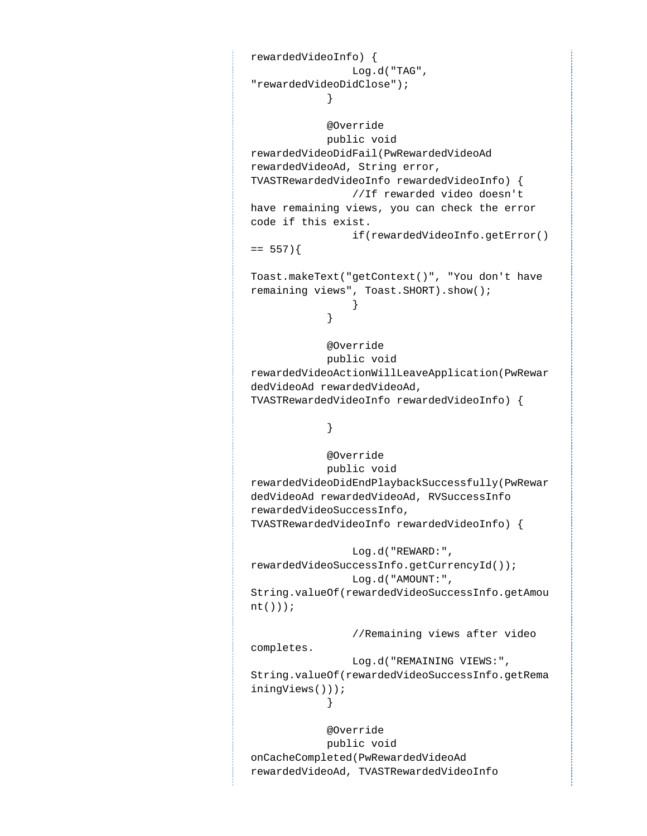```
rewardedVideoInfo) {
                Log.d("TAG",
"rewardedVideoDidClose");
 }
            @Override
            public void
rewardedVideoDidFail(PwRewardedVideoAd
rewardedVideoAd, String error,
TVASTRewardedVideoInfo rewardedVideoInfo) {
                //If rewarded video doesn't
have remaining views, you can check the error
code if this exist.
                if(rewardedVideoInfo.getError()
== 557)Toast.makeText("getContext()", "You don't have
remaining views", Toast.SHORT).show();
 }
 }
            @Override
            public void
rewardedVideoActionWillLeaveApplication(PwRewar
dedVideoAd rewardedVideoAd,
TVASTRewardedVideoInfo rewardedVideoInfo) {
 }
            @Override
            public void
rewardedVideoDidEndPlaybackSuccessfully(PwRewar
dedVideoAd rewardedVideoAd, RVSuccessInfo
rewardedVideoSuccessInfo,
TVASTRewardedVideoInfo rewardedVideoInfo) {
                Log.d("REWARD:",
rewardedVideoSuccessInfo.getCurrencyId());
                Log.d("AMOUNT:",
String.valueOf(rewardedVideoSuccessInfo.getAmou
nt()));
                //Remaining views after video
completes.
                Log.d("REMAINING VIEWS:",
String.valueOf(rewardedVideoSuccessInfo.getRema
iningViews()));
 }
            @Override
            public void
onCacheCompleted(PwRewardedVideoAd
rewardedVideoAd, TVASTRewardedVideoInfo
```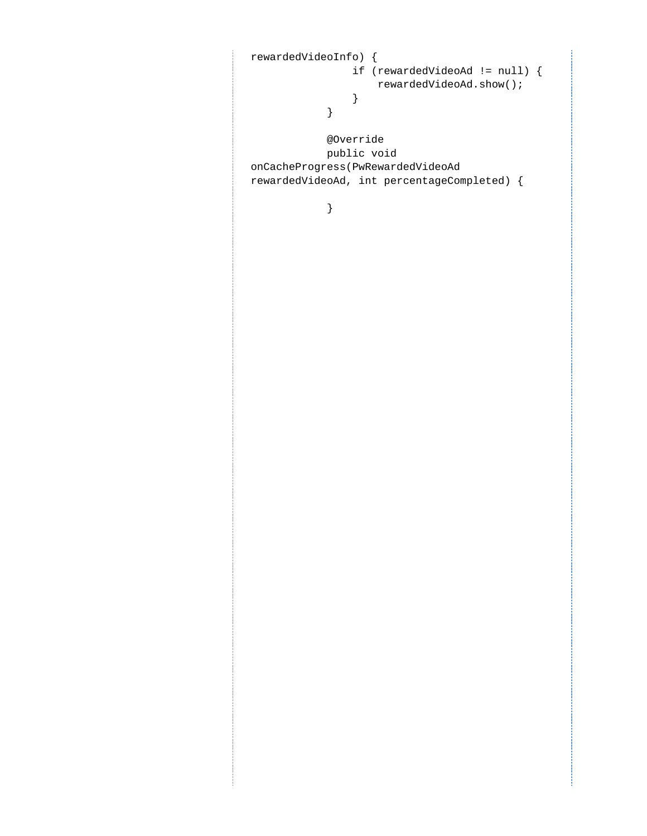```
rewardedVideoInfo) {
                if (rewardedVideoAd != null) {
                   rewardedVideoAd.show();
 }
            }
            @Override
            public void
onCacheProgress(PwRewardedVideoAd
rewardedVideoAd, int percentageCompleted) {
```
}